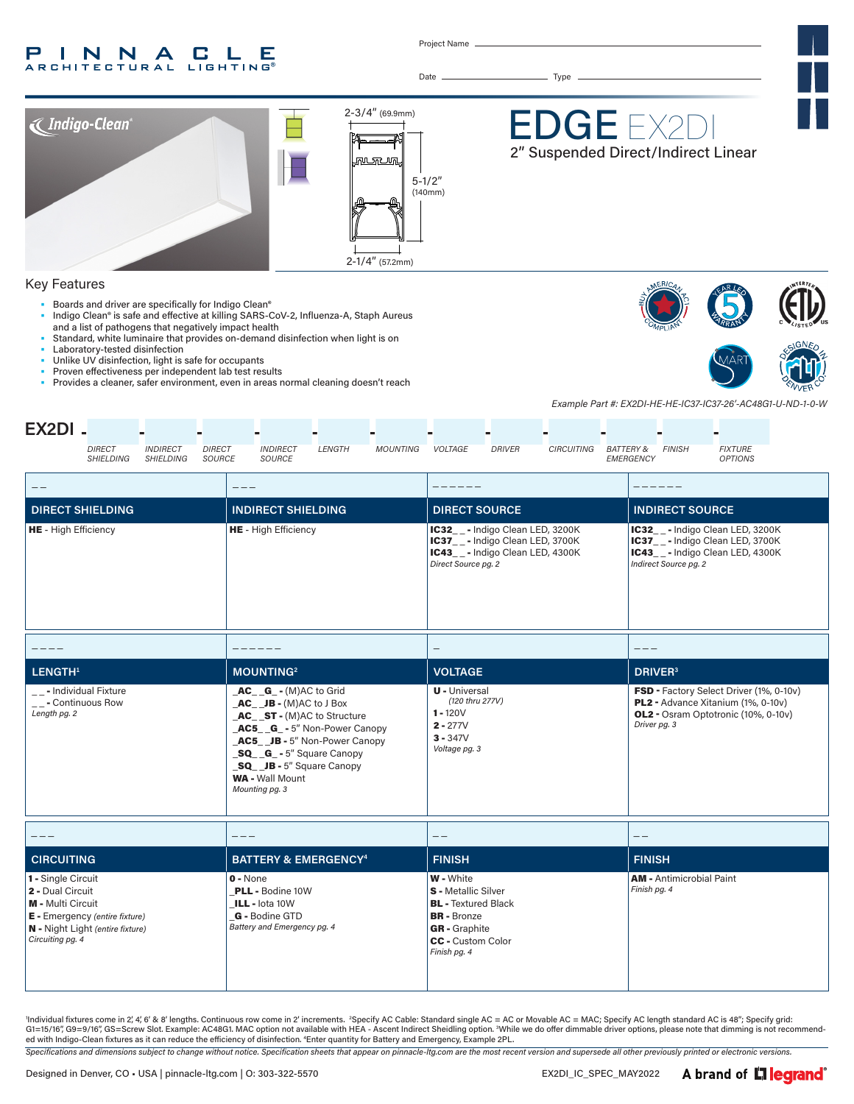#### $\mathsf{L}$ INNA P C . Е **RCHITECTURAL LIGHTING®**

Project Name

Date Type



#### Key Features

- Boards and driver are specifically for Indigo Clean®
- Indigo Clean® is safe and effective at killing SARS-CoV-2, Influenza-A, Staph Aureus and a list of pathogens that negatively impact health
- Standard, white luminaire that provides on-demand disinfection when light is on Laboratory-tested disinfection
- Unlike UV disinfection, light is safe for occupants
- 
- Proven effectiveness per independent lab test results<br>• Provides a cleaner, safer environment, even in areas n • Provides a cleaner, safer environment, even in areas normal cleaning doesn't reach





*Example Part #: EX2DI-HE-HE-IC37-IC37-26'-AC48G1-U-ND-1-0-W*

| EX2DI-                                                                                                                                                       |                                                                                                                                                                                                                                                        |                                                                                                                                                                 |                                                                                                                                      |  |
|--------------------------------------------------------------------------------------------------------------------------------------------------------------|--------------------------------------------------------------------------------------------------------------------------------------------------------------------------------------------------------------------------------------------------------|-----------------------------------------------------------------------------------------------------------------------------------------------------------------|--------------------------------------------------------------------------------------------------------------------------------------|--|
| <b>DIRECT</b><br><b>INDIRECT</b><br><b>DIRECT</b><br><b>SHIELDING</b><br><b>SHIELDING</b><br>SOURCE                                                          | <b>INDIRECT</b><br><b>LENGTH</b><br><b>MOUNTING</b><br>SOURCE                                                                                                                                                                                          | VOLTAGE<br><b>DRIVER</b><br><b>CIRCUITING</b><br><b>BATTERY &amp;</b>                                                                                           | <b>FINISH</b><br><b>FIXTURE</b><br><b>EMERGENCY</b><br><b>OPTIONS</b>                                                                |  |
|                                                                                                                                                              |                                                                                                                                                                                                                                                        |                                                                                                                                                                 |                                                                                                                                      |  |
| <b>DIRECT SHIELDING</b>                                                                                                                                      | <b>INDIRECT SHIELDING</b>                                                                                                                                                                                                                              | <b>DIRECT SOURCE</b>                                                                                                                                            | <b>INDIRECT SOURCE</b>                                                                                                               |  |
| HE - High Efficiency                                                                                                                                         | HE - High Efficiency                                                                                                                                                                                                                                   | IC32__- Indigo Clean LED, 3200K<br>IC37__- Indigo Clean LED, 3700K<br>IC43__- Indigo Clean LED, 4300K<br>Direct Source pg. 2                                    | IC32_ - Indigo Clean LED, 3200K<br>IC37__-Indigo Clean LED, 3700K<br>IC43__- Indigo Clean LED, 4300K<br>Indirect Source pg. 2        |  |
| ----                                                                                                                                                         |                                                                                                                                                                                                                                                        | $\qquad \qquad -$                                                                                                                                               | $- - -$                                                                                                                              |  |
| LENGTH <sup>1</sup>                                                                                                                                          | <b>MOUNTING2</b>                                                                                                                                                                                                                                       | <b>VOLTAGE</b>                                                                                                                                                  | <b>DRIVER</b> <sup>3</sup>                                                                                                           |  |
| __- Individual Fixture<br>__- Continuous Row<br>Length pg. 2                                                                                                 | $AC_G - G - (M)AC$ to Grid<br>$AC$ $JB - (M)AC$ to J Box<br>AC_ST-(M)AC to Structure<br>AC5 G - 5" Non-Power Canopy<br>AC5 JB - 5" Non-Power Canopy<br>SQ G - 5" Square Canopy<br>SQ JB - 5" Square Canopy<br><b>WA - Wall Mount</b><br>Mounting pg. 3 |                                                                                                                                                                 | FSD - Factory Select Driver (1%, 0-10v)<br>PL2 - Advance Xitanium (1%, 0-10v)<br>OL2 - Osram Optotronic (10%, 0-10v)<br>Driver pg. 3 |  |
| $- - -$                                                                                                                                                      |                                                                                                                                                                                                                                                        | $- -$                                                                                                                                                           | $ -$                                                                                                                                 |  |
| <b>CIRCUITING</b>                                                                                                                                            | <b>BATTERY &amp; EMERGENCY<sup>4</sup></b>                                                                                                                                                                                                             | <b>FINISH</b>                                                                                                                                                   | <b>FINISH</b>                                                                                                                        |  |
| 1 - Single Circuit<br>2 - Dual Circuit<br><b>M</b> - Multi Circuit<br>E - Emergency (entire fixture)<br>N - Night Light (entire fixture)<br>Circuiting pg. 4 | $0 - None$<br><b>PLL - Bodine 10W</b><br>ILL - lota 10W<br>G - Bodine GTD<br>Battery and Emergency pg. 4                                                                                                                                               | <b>W</b> - White<br>S - Metallic Silver<br><b>BL</b> - Textured Black<br><b>BR</b> - Bronze<br><b>GR</b> - Graphite<br><b>CC</b> - Custom Color<br>Finish pg. 4 | <b>AM - Antimicrobial Paint</b><br>Finish pg. 4                                                                                      |  |

'Individual fixtures come in 2, 4', 6' & 8' lengths. Continuous row come in 2' increments. "Specify AC Cable: Standard single AC = AC or Movable AC = MAC; Specify AC length standard AC is 48"; Specify grid: G1=15/16″, G9=9/16″, GS=Screw Slot. Example: AC48G1. MAC option not available with HEA - Ascent Indirect Sheidling option. <sup>3</sup>While we do offer dimmable driver options, please note that dimming is not recommend-<br>ed with In

*Specifications and dimensions subject to change without notice. Specification sheets that appear on pinnacle-ltg.com are the most recent version and supersede all other previously printed or electronic versions.*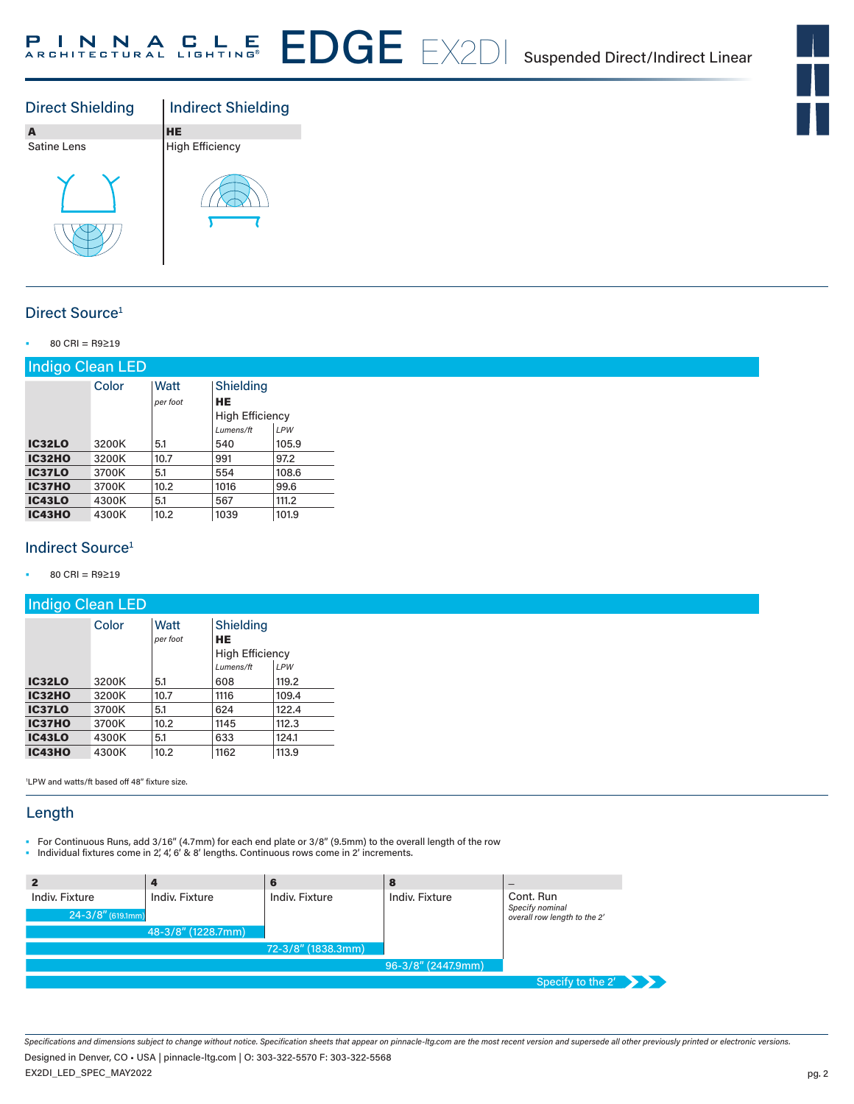



# Direct Source<sup>1</sup>

• 80 CRI = R9≥19

| Indigo Clean LED |       |          |                                     |       |
|------------------|-------|----------|-------------------------------------|-------|
|                  | Color | Watt     | Shielding                           |       |
|                  |       | per foot | <b>HE</b><br><b>High Efficiency</b> |       |
|                  |       |          | Lumens/ft                           | LPW   |
| <b>IC32LO</b>    | 3200K | 5.1      | 540                                 | 105.9 |
| <b>IC32HO</b>    | 3200K | 10.7     | 991                                 | 97.2  |
| <b>IC37LO</b>    | 3700K | 5.1      | 554                                 | 108.6 |
| <b>IC37HO</b>    | 3700K | 10.2     | 1016                                | 99.6  |
| <b>IC43LO</b>    | 4300K | 5.1      | 567                                 | 111.2 |
| <b>IC43HO</b>    | 4300K | 10.2     | 1039                                | 101.9 |

## Indirect Source<sup>1</sup>

• 80 CRI = R9≥19

| Indigo Clean LED |       |                  |                                                        |              |
|------------------|-------|------------------|--------------------------------------------------------|--------------|
|                  | Color | Watt<br>per foot | Shielding<br>HE<br><b>High Efficiency</b><br>Lumens/ft |              |
| <b>IC32LO</b>    | 3200K | 5.1              | 608                                                    | LPW<br>119.2 |
| <b>IC32HO</b>    | 3200K | 10.7             | 1116                                                   | 109.4        |
| <b>IC37LO</b>    | 3700K | 5.1              | 624                                                    | 122.4        |
| <b>IC37HO</b>    | 3700K | 10.2             | 1145                                                   | 112.3        |
| <b>IC43LO</b>    | 4300K | 5.1              | 633                                                    | 124.1        |
| <b>IC43HO</b>    | 4300K | 10.2             | 1162                                                   | 113.9        |

1 LPW and watts/ft based off 48" fixture size.

## Length

- For Continuous Runs, add 3/16" (4.7mm) for each end plate or 3/8" (9.5mm) to the overall length of the row
- Individual fixtures come in 2', 4', 6' & 8' lengths. Continuous rows come in 2' increments.

|                                          |                    | 6                  | 8                  | -                                                            |
|------------------------------------------|--------------------|--------------------|--------------------|--------------------------------------------------------------|
| Indiv. Fixture<br>$24 - 3/8''$ (619.1mm) | Indiv. Fixture     | Indiv. Fixture     | Indiv. Fixture     | Cont. Run<br>Specify nominal<br>overall row length to the 2' |
|                                          | 48-3/8" (1228.7mm) |                    |                    |                                                              |
|                                          |                    | 72-3/8" (1838.3mm) |                    |                                                              |
|                                          |                    |                    | 96-3/8" (2447.9mm) |                                                              |
|                                          |                    |                    |                    | Specify to the 2'                                            |

*Specifications and dimensions subject to change without notice. Specification sheets that appear on pinnacle-ltg.com are the most recent version and supersede all other previously printed or electronic versions.*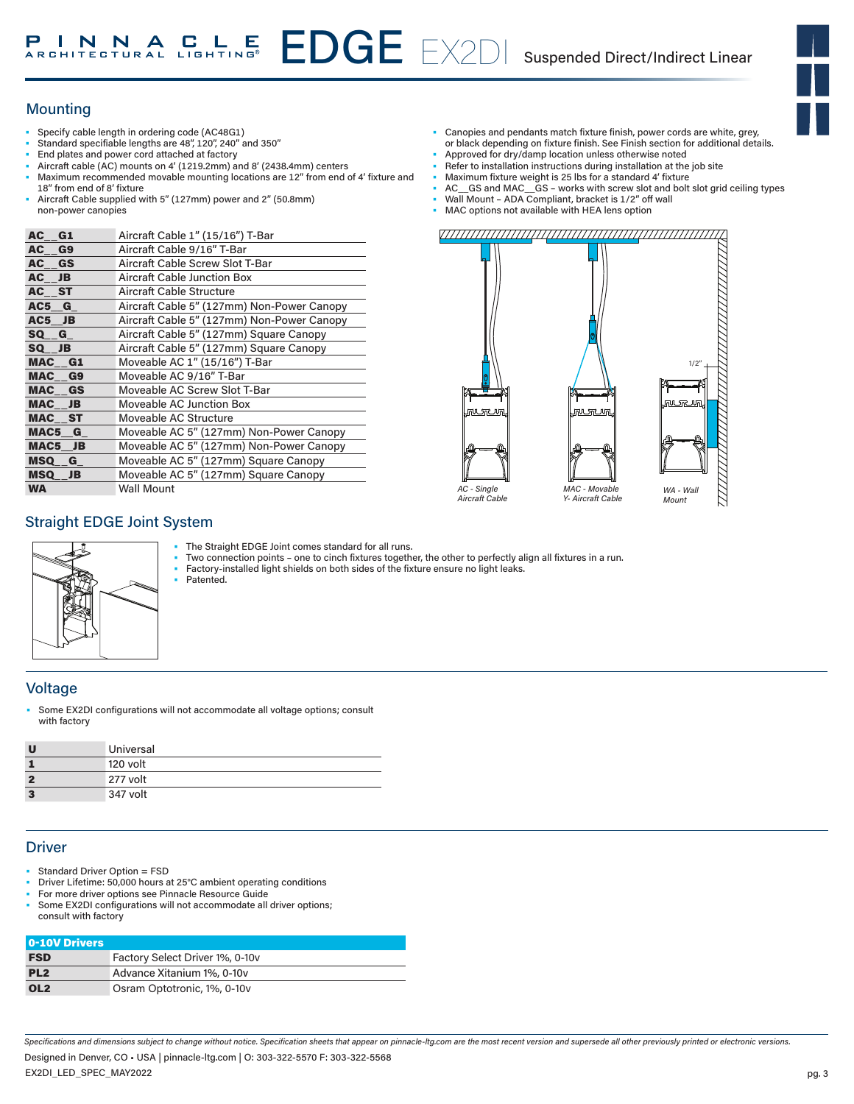# EDGE EX2DI Suspended Direct/Indirect Linear

# **Mounting**

- Specify cable length in ordering code (AC48G1)
- Standard specifiable lengths are 48", 120", 240" and 350"
- End plates and power cord attached at factory
- Aircraft cable (AC) mounts on 4' (1219.2mm) and 8' (2438.4mm) centers
- Maximum recommended movable mounting locations are 12" from end of 4' fixture and 18" from end of 8' fixture
- Aircraft Cable supplied with 5" (127mm) power and 2" (50.8mm) non-power canopies

| AC G1     | Aircraft Cable 1" (15/16") T-Bar           |
|-----------|--------------------------------------------|
| AC G9     | Aircraft Cable 9/16" T-Bar                 |
| AC GS     | Aircraft Cable Screw Slot T-Bar            |
| AC JB     | <b>Aircraft Cable Junction Box</b>         |
| AC ST     | <b>Aircraft Cable Structure</b>            |
| AC5 G     | Aircraft Cable 5" (127mm) Non-Power Canopy |
| $AC5$ JB  | Aircraft Cable 5" (127mm) Non-Power Canopy |
| SQ G      | Aircraft Cable 5" (127mm) Square Canopy    |
| SQ JB     | Aircraft Cable 5" (127mm) Square Canopy    |
| MAC G1    | Moveable AC 1" (15/16") T-Bar              |
| MAC G9    | Moveable AC 9/16" T-Bar                    |
| MAC GS    | Moveable AC Screw Slot T-Bar               |
| MAC JB    | Moveable AC Junction Box                   |
| MAC ST    | Moveable AC Structure                      |
| MAC5 G    | Moveable AC 5" (127mm) Non-Power Canopy    |
| MAC5 JB   | Moveable AC 5" (127mm) Non-Power Canopy    |
| MSQ G     | Moveable AC 5" (127mm) Square Canopy       |
| MSQ JB    | Moveable AC 5" (127mm) Square Canopy       |
| <b>WA</b> | <b>Wall Mount</b>                          |

- Canopies and pendants match fixture finish, power cords are white, grey,
- or black depending on fixture finish. See Finish section for additional details. Approved for dry/damp location unless otherwise noted
- Refer to installation instructions during installation at the job site
- Maximum fixture weight is 25 lbs for a standard 4' fixture
- AC GS and MAC GS works with screw slot and bolt slot grid ceiling types
- Wall Mount ADA Compliant, bracket is 1/2" off wall
- MAC options not available with HEA lens option



## Straight EDGE Joint System



- The Straight EDGE Joint comes standard for all runs.
- Two connection points one to cinch fixtures together, the other to perfectly align all fixtures in a run.
- Factory-installed light shields on both sides of the fixture ensure no light leaks. Patented.

#### **Voltage**

Some EX2DI configurations will not accommodate all voltage options; consult with factory

| π | Universal |
|---|-----------|
|   | 120 volt  |
| 2 | 277 volt  |
| 3 | 347 volt  |

## **Driver**

- Standard Driver Option = FSD
- Driver Lifetime: 50,000 hours at 25°C ambient operating conditions
- For more driver options see Pinnacle Resource Guide Some EX2DI configurations will not accommodate all driver options;
- consult with factory

| 0-10V Drivers   |                                 |
|-----------------|---------------------------------|
| <b>FSD</b>      | Factory Select Driver 1%, 0-10v |
| PL <sub>2</sub> | Advance Xitanium 1%, 0-10y      |
| OL <sub>2</sub> | Osram Optotronic, 1%, 0-10v     |

*Specifications and dimensions subject to change without notice. Specification sheets that appear on pinnacle-ltg.com are the most recent version and supersede all other previously printed or electronic versions.*

EX2DI\_LED\_SPEC\_MAY2022 Designed in Denver, CO • USA | pinnacle-ltg.com | O: 303-322-5570 F: 303-322-5568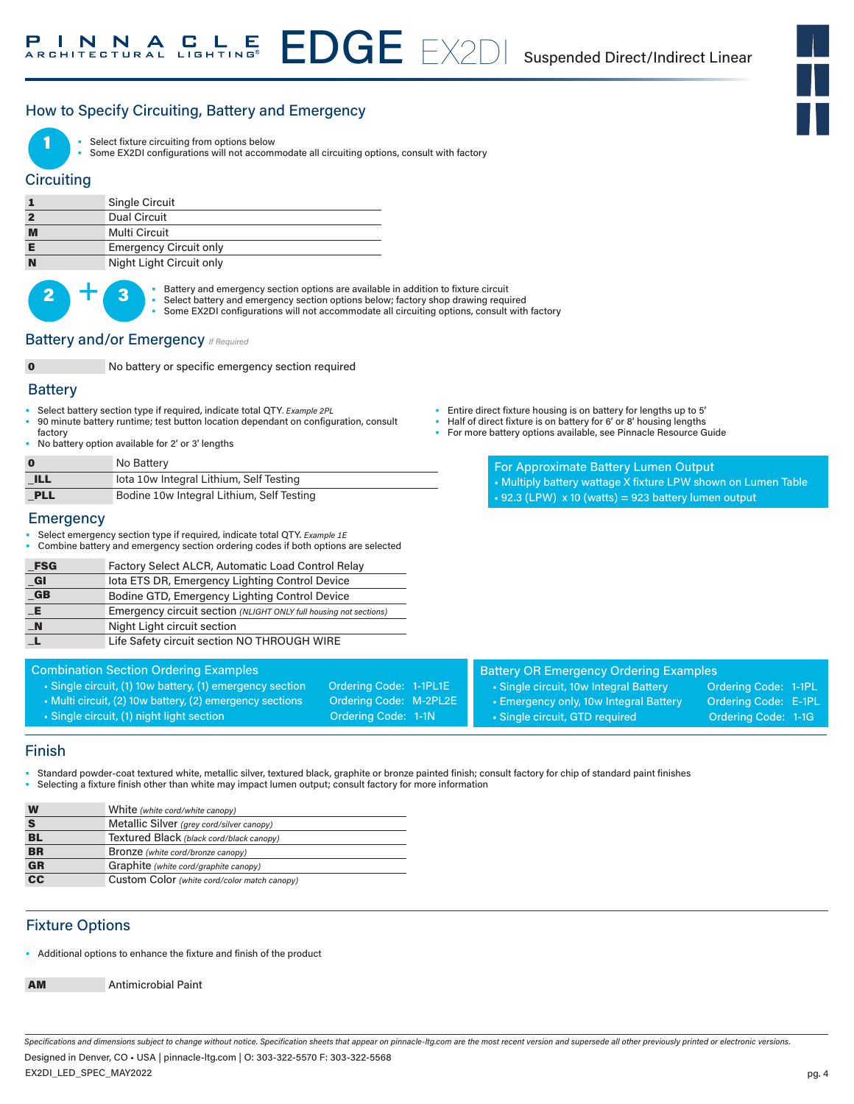# How to Specify Circuiting, Battery and Emergency



Select fixture circuiting from options below

Some EX2DI configurations will not accommodate all circuiting options, consult with factory

#### **Circuiting**

|                | Single Circuit                |
|----------------|-------------------------------|
| $\overline{2}$ | Dual Circuit                  |
| M              | Multi Circuit                 |
| Е              | <b>Emergency Circuit only</b> |
| N              | Night Light Circuit only      |



 $\bullet$  **•** Battery and emergency section options are available in addition to fixture circuit Select battery and emergency section options below; factory shop drawing required

Some EX2DI configurations will not accommodate all circuiting options, consult with factory

#### **Battery and/or Emergency** *If Required*

0 No battery or specific emergency section required

#### **Battery**

- Select battery section type if required, indicate total QTY*. Example 2PL*
- 90 minute battery runtime; test button location dependant on configuration, consult factory
- No battery option available for 2' or 3' lengths

| n                                | No Battery                                |
|----------------------------------|-------------------------------------------|
| $\triangle$ ILL $\triangleright$ | lota 10w Integral Lithium, Self Testing   |
| PLL                              | Bodine 10w Integral Lithium, Self Testing |

#### **Emergency**

- Select emergency section type if required, indicate total QTY. *Example 1E*
- Combine battery and emergency section ordering codes if both options are selected

| <b>FSG</b>              | Factory Select ALCR, Automatic Load Control Relay                 |
|-------------------------|-------------------------------------------------------------------|
| $_{\blacksquare}$ GI    | lota ETS DR, Emergency Lighting Control Device                    |
| $\overline{\mathbf{G}}$ | Bodine GTD, Emergency Lighting Control Device                     |
| $-E$                    | Emergency circuit section (NLIGHT ONLY full housing not sections) |
| $\mathbb{N}$            | Night Light circuit section                                       |
| L                       | Life Safety circuit section NO THROUGH WIRE                       |
|                         |                                                                   |

Combination Section Ordering Examples • Single circuit, (1) 10w battery, (1) emergency section Ordering Code: 1-1PL1E • Multi circuit, (2) 10w battery, (2) emergency sections Ordering Code: M-2PL2E • Single circuit, (1) night light section **Ordering Code: 1-1N** 

- Entire direct fixture housing is on battery for lengths up to 5' Half of direct fixture is on battery for 6' or 8' housing lengths
- For more battery options available, see Pinnacle Resource Guide
	- For Approximate Battery Lumen Output • Multiply battery wattage X fixture LPW shown on Lumen Table  $\cdot$  92.3 (LPW) x 10 (watts) = 923 battery lumen output

|  | <b>Battery OR Emergency Ordering Examples</b> |  |
|--|-----------------------------------------------|--|

- Single circuit, 10w Integral Battery **Call Condering Code: 1-1PL**
- Emergency only, 10w Integral Battery Ordering Code: E-1PL
	- Single circuit, GTD required **Ordering Code: 1-1G**
- 

- Finish
- Standard powder-coat textured white, metallic silver, textured black, graphite or bronze painted finish; consult factory for chip of standard paint finishes
- Selecting a fixture finish other than white may impact lumen output; consult factory for more information

| W               | White (white cord/white canopy)              |
|-----------------|----------------------------------------------|
|                 | Metallic Silver (grey cord/silver canopy)    |
| BL              | Textured Black (black cord/black canopy)     |
| <b>BR</b>       | Bronze (white cord/bronze canopy)            |
| <b>GR</b>       | Graphite (white cord/graphite canopy)        |
| $\overline{cc}$ | Custom Color (white cord/color match canopy) |

# Fixture Options

• Additional options to enhance the fixture and finish of the product

AM Antimicrobial Paint

*Specifications and dimensions subject to change without notice. Specification sheets that appear on pinnacle-ltg.com are the most recent version and supersede all other previously printed or electronic versions.*

EX2DI\_LED\_SPEC\_MAY2022 Designed in Denver, CO • USA | pinnacle-ltg.com | O: 303-322-5570 F: 303-322-5568

pg. 4